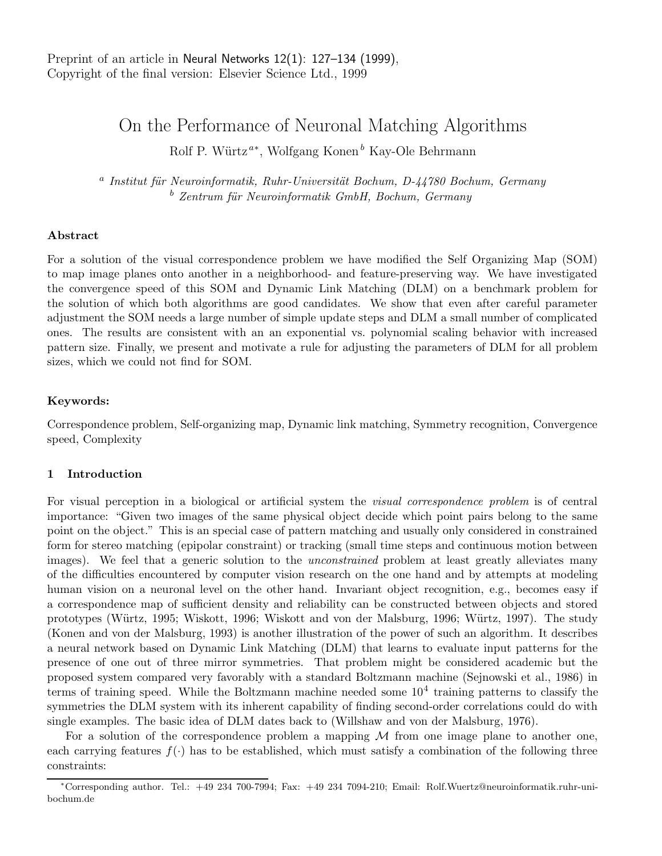# On the Performance of Neuronal Matching Algorithms

Rolf P. Würtz<sup>a\*</sup>, Wolfgang Konen<sup>b</sup> Kay-Ole Behrmann

<sup>a</sup> Institut für Neuroinformatik, Ruhr-Universität Bochum, D-44780 Bochum, Germany  $b$  Zentrum für Neuroinformatik GmbH, Bochum, Germany

# Abstract

For a solution of the visual correspondence problem we have modified the Self Organizing Map (SOM) to map image planes onto another in a neighborhood- and feature-preserving way. We have investigated the convergence speed of this SOM and Dynamic Link Matching (DLM) on a benchmark problem for the solution of which both algorithms are good candidates. We show that even after careful parameter adjustment the SOM needs a large number of simple update steps and DLM a small number of complicated ones. The results are consistent with an an exponential vs. polynomial scaling behavior with increased pattern size. Finally, we present and motivate a rule for adjusting the parameters of DLM for all problem sizes, which we could not find for SOM.

### Keywords:

Correspondence problem, Self-organizing map, Dynamic link matching, Symmetry recognition, Convergence speed, Complexity

# 1 Introduction

For visual perception in a biological or artificial system the visual correspondence problem is of central importance: "Given two images of the same physical object decide which point pairs belong to the same point on the object." This is an special case of pattern matching and usually only considered in constrained form for stereo matching (epipolar constraint) or tracking (small time steps and continuous motion between images). We feel that a generic solution to the *unconstrained* problem at least greatly alleviates many of the difficulties encountered by computer vision research on the one hand and by attempts at modeling human vision on a neuronal level on the other hand. Invariant object recognition, e.g., becomes easy if a correspondence map of sufficient density and reliability can be constructed between objects and stored prototypes (Würtz, 1995; Wiskott, 1996; Wiskott and von der Malsburg, 1996; Würtz, 1997). The study (Konen and von der Malsburg, 1993) is another illustration of the power of such an algorithm. It describes a neural network based on Dynamic Link Matching (DLM) that learns to evaluate input patterns for the presence of one out of three mirror symmetries. That problem might be considered academic but the proposed system compared very favorably with a standard Boltzmann machine (Sejnowski et al., 1986) in terms of training speed. While the Boltzmann machine needed some  $10^4$  training patterns to classify the symmetries the DLM system with its inherent capability of finding second-order correlations could do with single examples. The basic idea of DLM dates back to (Willshaw and von der Malsburg, 1976).

For a solution of the correspondence problem a mapping  $M$  from one image plane to another one, each carrying features  $f(\cdot)$  has to be established, which must satisfy a combination of the following three constraints:

<sup>∗</sup>Corresponding author. Tel.: +49 234 700-7994; Fax: +49 234 7094-210; Email: Rolf.Wuertz@neuroinformatik.ruhr-unibochum.de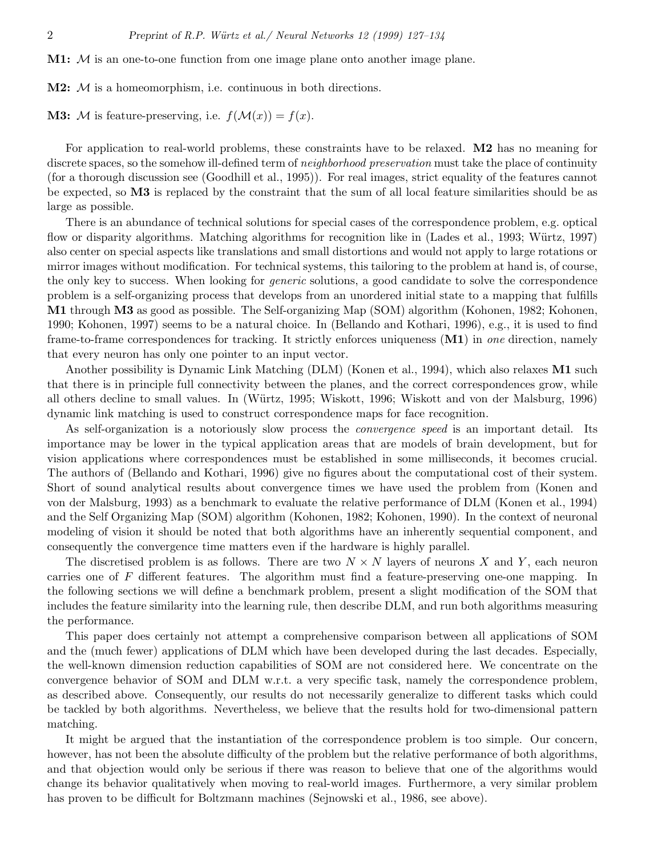**M1:**  $M$  is an one-to-one function from one image plane onto another image plane.

 $M2: M$  is a homeomorphism, i.e. continuous in both directions.

**M3:** M is feature-preserving, i.e.  $f(M(x)) = f(x)$ .

For application to real-world problems, these constraints have to be relaxed. M2 has no meaning for discrete spaces, so the somehow ill-defined term of *neighborhood preservation* must take the place of continuity (for a thorough discussion see (Goodhill et al., 1995)). For real images, strict equality of the features cannot be expected, so M3 is replaced by the constraint that the sum of all local feature similarities should be as large as possible.

There is an abundance of technical solutions for special cases of the correspondence problem, e.g. optical flow or disparity algorithms. Matching algorithms for recognition like in (Lades et al., 1993; Würtz, 1997) also center on special aspects like translations and small distortions and would not apply to large rotations or mirror images without modification. For technical systems, this tailoring to the problem at hand is, of course, the only key to success. When looking for generic solutions, a good candidate to solve the correspondence problem is a self-organizing process that develops from an unordered initial state to a mapping that fulfills M1 through M3 as good as possible. The Self-organizing Map (SOM) algorithm (Kohonen, 1982; Kohonen, 1990; Kohonen, 1997) seems to be a natural choice. In (Bellando and Kothari, 1996), e.g., it is used to find frame-to-frame correspondences for tracking. It strictly enforces uniqueness (M1) in one direction, namely that every neuron has only one pointer to an input vector.

Another possibility is Dynamic Link Matching (DLM) (Konen et al., 1994), which also relaxes **M1** such that there is in principle full connectivity between the planes, and the correct correspondences grow, while all others decline to small values. In (Würtz, 1995; Wiskott, 1996; Wiskott and von der Malsburg, 1996) dynamic link matching is used to construct correspondence maps for face recognition.

As self-organization is a notoriously slow process the *convergence speed* is an important detail. Its importance may be lower in the typical application areas that are models of brain development, but for vision applications where correspondences must be established in some milliseconds, it becomes crucial. The authors of (Bellando and Kothari, 1996) give no figures about the computational cost of their system. Short of sound analytical results about convergence times we have used the problem from (Konen and von der Malsburg, 1993) as a benchmark to evaluate the relative performance of DLM (Konen et al., 1994) and the Self Organizing Map (SOM) algorithm (Kohonen, 1982; Kohonen, 1990). In the context of neuronal modeling of vision it should be noted that both algorithms have an inherently sequential component, and consequently the convergence time matters even if the hardware is highly parallel.

The discretised problem is as follows. There are two  $N \times N$  layers of neurons X and Y, each neuron carries one of F different features. The algorithm must find a feature-preserving one-one mapping. In the following sections we will define a benchmark problem, present a slight modification of the SOM that includes the feature similarity into the learning rule, then describe DLM, and run both algorithms measuring the performance.

This paper does certainly not attempt a comprehensive comparison between all applications of SOM and the (much fewer) applications of DLM which have been developed during the last decades. Especially, the well-known dimension reduction capabilities of SOM are not considered here. We concentrate on the convergence behavior of SOM and DLM w.r.t. a very specific task, namely the correspondence problem, as described above. Consequently, our results do not necessarily generalize to different tasks which could be tackled by both algorithms. Nevertheless, we believe that the results hold for two-dimensional pattern matching.

It might be argued that the instantiation of the correspondence problem is too simple. Our concern, however, has not been the absolute difficulty of the problem but the relative performance of both algorithms, and that objection would only be serious if there was reason to believe that one of the algorithms would change its behavior qualitatively when moving to real-world images. Furthermore, a very similar problem has proven to be difficult for Boltzmann machines (Sejnowski et al., 1986, see above).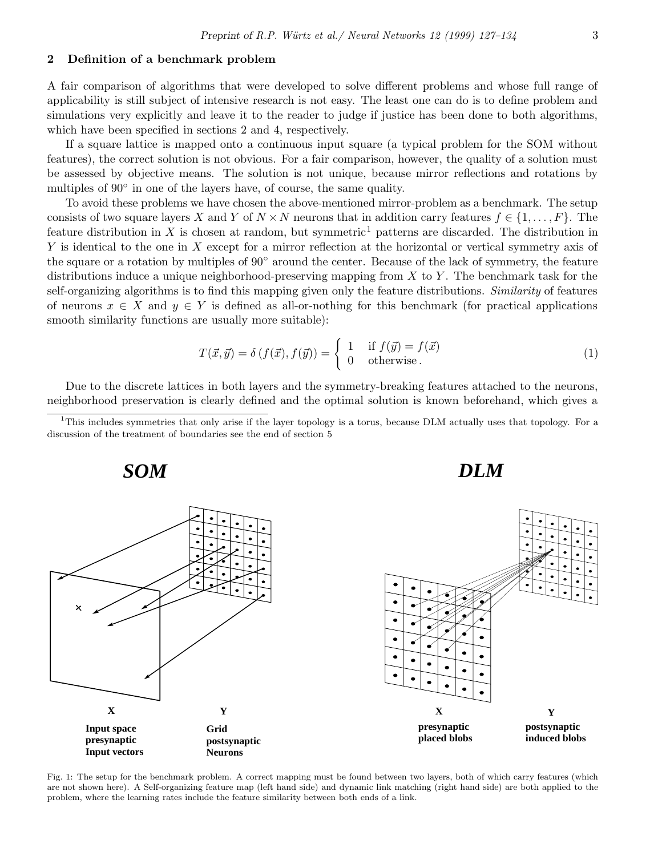# 2 Definition of a benchmark problem

A fair comparison of algorithms that were developed to solve different problems and whose full range of applicability is still subject of intensive research is not easy. The least one can do is to define problem and simulations very explicitly and leave it to the reader to judge if justice has been done to both algorithms, which have been specified in sections 2 and 4, respectively.

If a square lattice is mapped onto a continuous input square (a typical problem for the SOM without features), the correct solution is not obvious. For a fair comparison, however, the quality of a solution must be assessed by objective means. The solution is not unique, because mirror reflections and rotations by multiples of  $90^{\circ}$  in one of the layers have, of course, the same quality.

To avoid these problems we have chosen the above-mentioned mirror-problem as a benchmark. The setup consists of two square layers X and Y of  $N \times N$  neurons that in addition carry features  $f \in \{1, \ldots, F\}$ . The feature distribution in X is chosen at random, but symmetric<sup>1</sup> patterns are discarded. The distribution in Y is identical to the one in X except for a mirror reflection at the horizontal or vertical symmetry axis of the square or a rotation by multiples of 90◦ around the center. Because of the lack of symmetry, the feature distributions induce a unique neighborhood-preserving mapping from  $X$  to  $Y$ . The benchmark task for the self-organizing algorithms is to find this mapping given only the feature distributions. Similarity of features of neurons  $x \in X$  and  $y \in Y$  is defined as all-or-nothing for this benchmark (for practical applications smooth similarity functions are usually more suitable):

$$
T(\vec{x}, \vec{y}) = \delta(f(\vec{x}), f(\vec{y})) = \begin{cases} 1 & \text{if } f(\vec{y}) = f(\vec{x}) \\ 0 & \text{otherwise.} \end{cases}
$$
 (1)

Due to the discrete lattices in both layers and the symmetry-breaking features attached to the neurons, neighborhood preservation is clearly defined and the optimal solution is known beforehand, which gives a

<sup>&</sup>lt;sup>1</sup>This includes symmetries that only arise if the layer topology is a torus, because DLM actually uses that topology. For a discussion of the treatment of boundaries see the end of section 5



Fig. 1: The setup for the benchmark problem. A correct mapping must be found between two layers, both of which carry features (which are not shown here). A Self-organizing feature map (left hand side) and dynamic link matching (right hand side) are both applied to the problem, where the learning rates include the feature similarity between both ends of a link.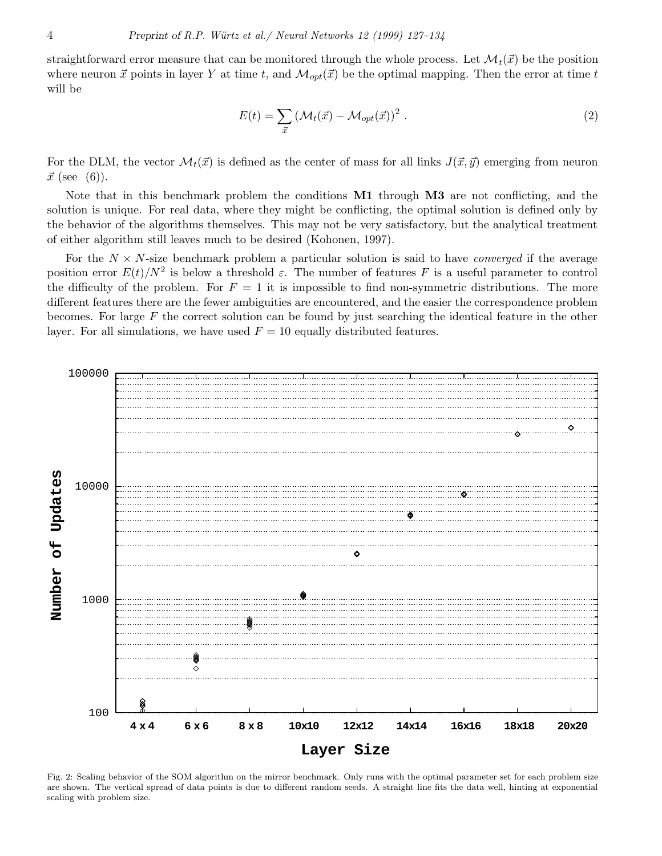straightforward error measure that can be monitored through the whole process. Let  $\mathcal{M}_t(\vec{x})$  be the position where neuron  $\vec{x}$  points in layer Y at time t, and  $\mathcal{M}_{opt}(\vec{x})$  be the optimal mapping. Then the error at time t will be

$$
E(t) = \sum_{\vec{x}} \left( \mathcal{M}_t(\vec{x}) - \mathcal{M}_{opt}(\vec{x}) \right)^2.
$$
 (2)

For the DLM, the vector  $\mathcal{M}_t(\vec{x})$  is defined as the center of mass for all links  $J(\vec{x}, \vec{y})$  emerging from neuron  $\vec{x}$  (see (6)).

Note that in this benchmark problem the conditions **M1** through **M3** are not conflicting, and the solution is unique. For real data, where they might be conflicting, the optimal solution is defined only by the behavior of the algorithms themselves. This may not be very satisfactory, but the analytical treatment of either algorithm still leaves much to be desired (Kohonen, 1997).

For the  $N \times N$ -size benchmark problem a particular solution is said to have *converged* if the average position error  $E(t)/N^2$  is below a threshold  $\varepsilon$ . The number of features F is a useful parameter to control the difficulty of the problem. For  $F = 1$  it is impossible to find non-symmetric distributions. The more different features there are the fewer ambiguities are encountered, and the easier the correspondence problem becomes. For large  $F$  the correct solution can be found by just searching the identical feature in the other layer. For all simulations, we have used  $F = 10$  equally distributed features.



Fig. 2: Scaling behavior of the SOM algorithm on the mirror benchmark. Only runs with the optimal parameter set for each problem size are shown. The vertical spread of data points is due to different random seeds. A straight line fits the data well, hinting at exponential scaling with problem size.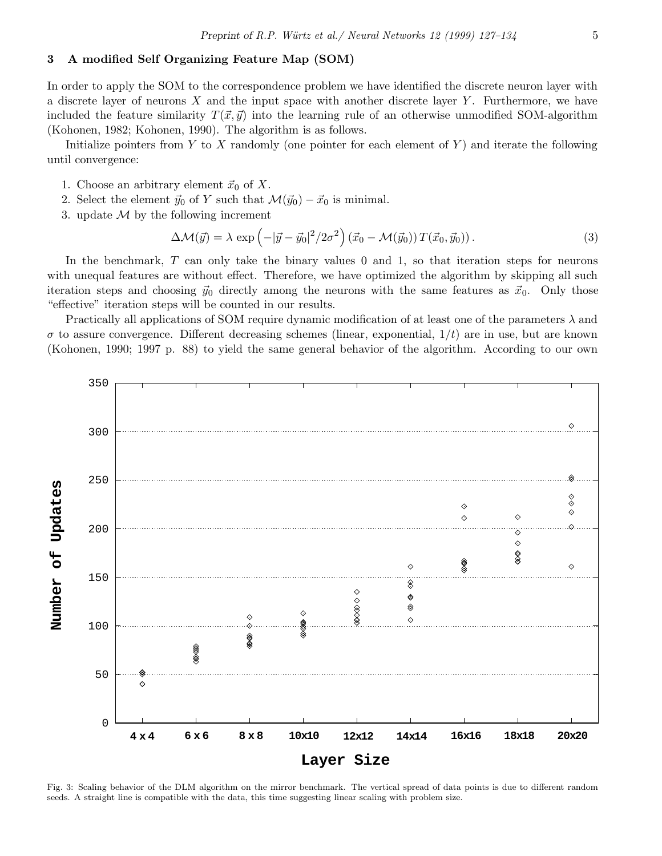# 3 A modified Self Organizing Feature Map (SOM)

In order to apply the SOM to the correspondence problem we have identified the discrete neuron layer with a discrete layer of neurons  $X$  and the input space with another discrete layer  $Y$ . Furthermore, we have included the feature similarity  $T(\vec{x}, \vec{y})$  into the learning rule of an otherwise unmodified SOM-algorithm (Kohonen, 1982; Kohonen, 1990). The algorithm is as follows.

Initialize pointers from Y to X randomly (one pointer for each element of Y) and iterate the following until convergence:

- 1. Choose an arbitrary element  $\vec{x}_0$  of X.
- 2. Select the element  $\vec{y}_0$  of Y such that  $\mathcal{M}(\vec{y}_0) \vec{x}_0$  is minimal.
- 3. update  $\mathcal M$  by the following increment

$$
\Delta \mathcal{M}(\vec{y}) = \lambda \exp\left(-|\vec{y} - \vec{y}_0|^2 / 2\sigma^2\right) (\vec{x}_0 - \mathcal{M}(\vec{y}_0)) T(\vec{x}_0, \vec{y}_0)).
$$
\n(3)

In the benchmark,  $T$  can only take the binary values 0 and 1, so that iteration steps for neurons with unequal features are without effect. Therefore, we have optimized the algorithm by skipping all such iteration steps and choosing  $\vec{y}_0$  directly among the neurons with the same features as  $\vec{x}_0$ . Only those "effective" iteration steps will be counted in our results.

Practically all applications of SOM require dynamic modification of at least one of the parameters  $\lambda$  and  $\sigma$  to assure convergence. Different decreasing schemes (linear, exponential,  $1/t$ ) are in use, but are known (Kohonen, 1990; 1997 p. 88) to yield the same general behavior of the algorithm. According to our own



Fig. 3: Scaling behavior of the DLM algorithm on the mirror benchmark. The vertical spread of data points is due to different random seeds. A straight line is compatible with the data, this time suggesting linear scaling with problem size.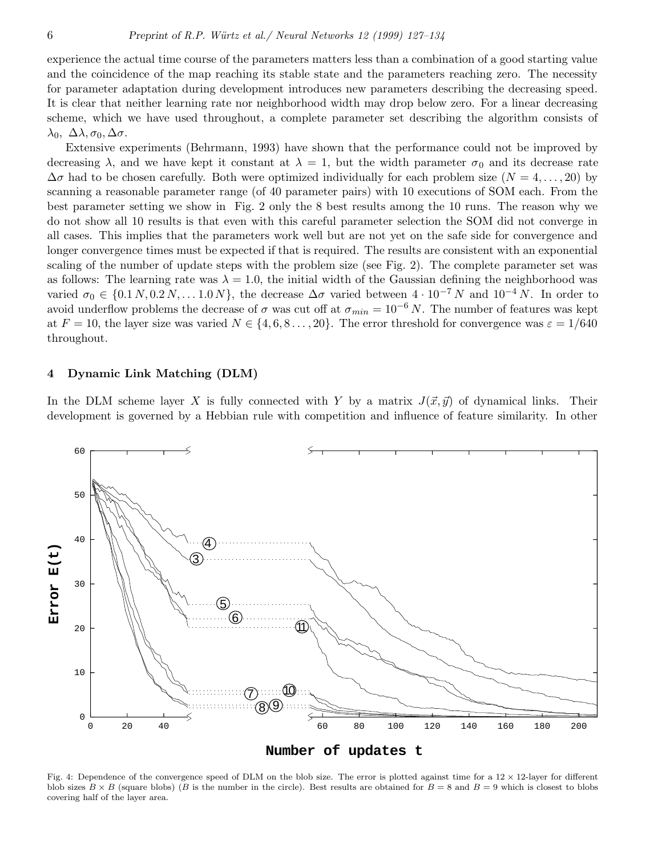experience the actual time course of the parameters matters less than a combination of a good starting value and the coincidence of the map reaching its stable state and the parameters reaching zero. The necessity for parameter adaptation during development introduces new parameters describing the decreasing speed. It is clear that neither learning rate nor neighborhood width may drop below zero. For a linear decreasing scheme, which we have used throughout, a complete parameter set describing the algorithm consists of  $\lambda_0, \ \Delta \lambda, \sigma_0, \Delta \sigma.$ 

Extensive experiments (Behrmann, 1993) have shown that the performance could not be improved by decreasing  $\lambda$ , and we have kept it constant at  $\lambda = 1$ , but the width parameter  $\sigma_0$  and its decrease rate  $\Delta\sigma$  had to be chosen carefully. Both were optimized individually for each problem size  $(N = 4, \ldots, 20)$  by scanning a reasonable parameter range (of 40 parameter pairs) with 10 executions of SOM each. From the best parameter setting we show in Fig. 2 only the 8 best results among the 10 runs. The reason why we do not show all 10 results is that even with this careful parameter selection the SOM did not converge in all cases. This implies that the parameters work well but are not yet on the safe side for convergence and longer convergence times must be expected if that is required. The results are consistent with an exponential scaling of the number of update steps with the problem size (see Fig. 2). The complete parameter set was as follows: The learning rate was  $\lambda = 1.0$ , the initial width of the Gaussian defining the neighborhood was varied  $\sigma_0 \in \{0.1\,N, 0.2\,N, \ldots 1.0\,N\}$ , the decrease  $\Delta \sigma$  varied between  $4 \cdot 10^{-7}\,N$  and  $10^{-4}\,N$ . In order to avoid underflow problems the decrease of  $\sigma$  was cut off at  $\sigma_{min} = 10^{-6} N$ . The number of features was kept at  $F = 10$ , the layer size was varied  $N \in \{4, 6, 8, \ldots, 20\}$ . The error threshold for convergence was  $\varepsilon = 1/640$ throughout.

#### 4 Dynamic Link Matching (DLM)

In the DLM scheme layer X is fully connected with Y by a matrix  $J(\vec{x}, \vec{y})$  of dynamical links. Their development is governed by a Hebbian rule with competition and influence of feature similarity. In other



Fig. 4: Dependence of the convergence speed of DLM on the blob size. The error is plotted against time for a  $12 \times 12$ -layer for different blob sizes  $B \times B$  (square blobs) (B is the number in the circle). Best results are obtained for  $B = 8$  and  $B = 9$  which is closest to blobs covering half of the layer area.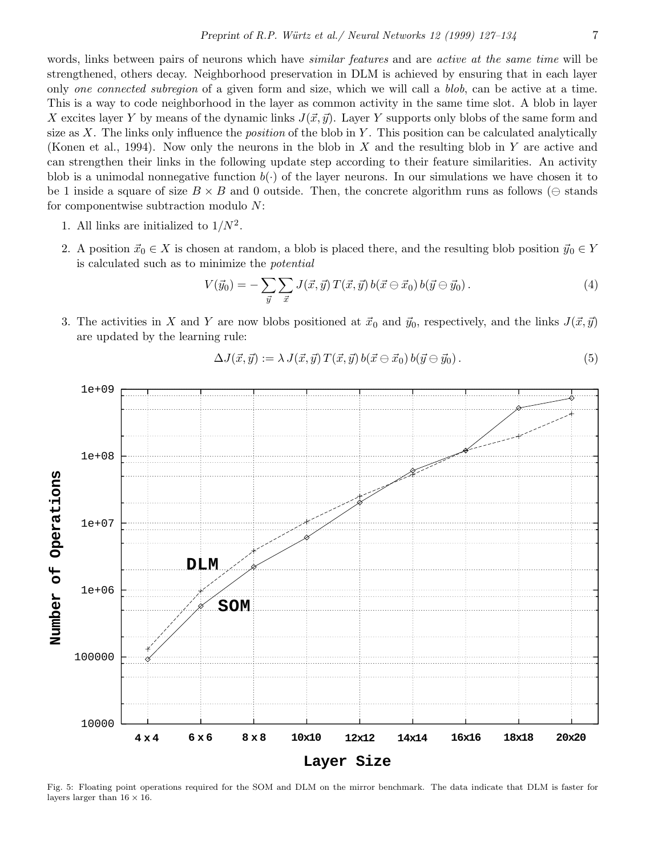words, links between pairs of neurons which have *similar features* and are *active at the same time* will be strengthened, others decay. Neighborhood preservation in DLM is achieved by ensuring that in each layer only one connected subregion of a given form and size, which we will call a blob, can be active at a time. This is a way to code neighborhood in the layer as common activity in the same time slot. A blob in layer X excites layer Y by means of the dynamic links  $J(\vec{x}, \vec{y})$ . Layer Y supports only blobs of the same form and size as X. The links only influence the *position* of the blob in Y. This position can be calculated analytically (Konen et al., 1994). Now only the neurons in the blob in X and the resulting blob in Y are active and can strengthen their links in the following update step according to their feature similarities. An activity blob is a unimodal nonnegative function  $b(\cdot)$  of the layer neurons. In our simulations we have chosen it to be 1 inside a square of size  $B \times B$  and 0 outside. Then, the concrete algorithm runs as follows ( $\ominus$  stands for componentwise subtraction modulo N:

- 1. All links are initialized to  $1/N^2$ .
- 2. A position  $\vec{x}_0 \in X$  is chosen at random, a blob is placed there, and the resulting blob position  $\vec{y}_0 \in Y$ is calculated such as to minimize the potential

$$
V(\vec{y}_0) = -\sum_{\vec{y}} \sum_{\vec{x}} J(\vec{x}, \vec{y}) T(\vec{x}, \vec{y}) b(\vec{x} \ominus \vec{x}_0) b(\vec{y} \ominus \vec{y}_0).
$$
 (4)

3. The activities in X and Y are now blobs positioned at  $\vec{x}_0$  and  $\vec{y}_0$ , respectively, and the links  $J(\vec{x}, \vec{y})$ are updated by the learning rule:

$$
\Delta J(\vec{x}, \vec{y}) := \lambda J(\vec{x}, \vec{y}) T(\vec{x}, \vec{y}) b(\vec{x} \ominus \vec{x}_0) b(\vec{y} \ominus \vec{y}_0).
$$
(5)



Fig. 5: Floating point operations required for the SOM and DLM on the mirror benchmark. The data indicate that DLM is faster for layers larger than  $16\times16.$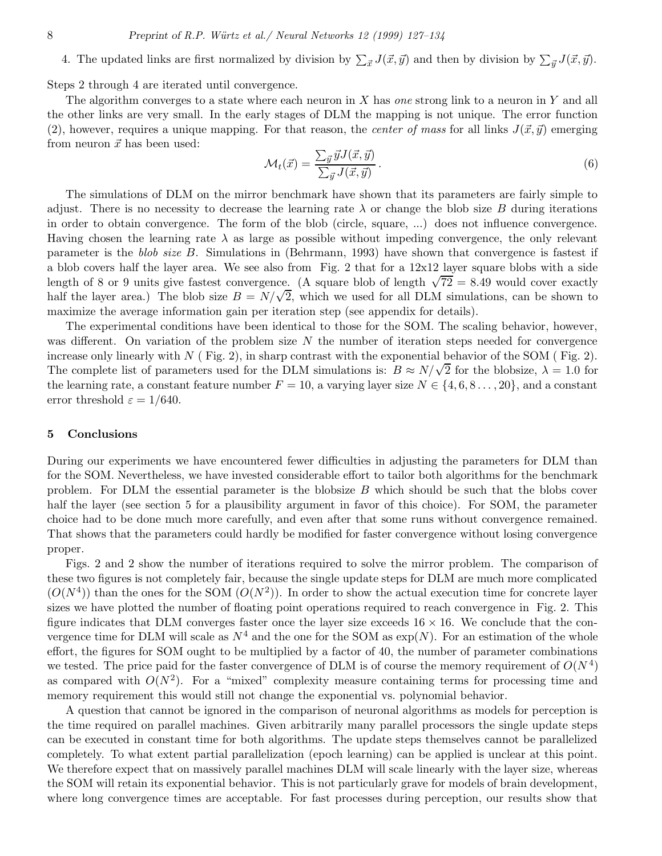4. The updated links are first normalized by division by  $\sum_{\vec{x}} J(\vec{x}, \vec{y})$  and then by division by  $\sum_{\vec{y}} J(\vec{x}, \vec{y})$ .

Steps 2 through 4 are iterated until convergence.

The algorithm converges to a state where each neuron in  $X$  has one strong link to a neuron in  $Y$  and all the other links are very small. In the early stages of DLM the mapping is not unique. The error function (2), however, requires a unique mapping. For that reason, the *center of mass* for all links  $J(\vec{x}, \vec{y})$  emerging from neuron  $\vec{x}$  has been used:

$$
\mathcal{M}_t(\vec{x}) = \frac{\sum_{\vec{y}} \vec{y} J(\vec{x}, \vec{y})}{\sum_{\vec{y}} J(\vec{x}, \vec{y})}.
$$
\n(6)

The simulations of DLM on the mirror benchmark have shown that its parameters are fairly simple to adjust. There is no necessity to decrease the learning rate  $\lambda$  or change the blob size B during iterations in order to obtain convergence. The form of the blob (circle, square, ...) does not influence convergence. Having chosen the learning rate  $\lambda$  as large as possible without impeding convergence, the only relevant parameter is the blob size B. Simulations in (Behrmann, 1993) have shown that convergence is fastest if a blob covers half the layer area. We see also from Fig. 2 that for a 12x12 layer square blobs with a side length of 8 or 9 units give fastest convergence. (A square blob of length  $\sqrt{72} = 8.49$  would cover exactly half the layer area.) The blob size  $B = N/\sqrt{2}$ , which we used for all DLM simulations, can be shown to maximize the average information gain per iteration step (see appendix for details).

The experimental conditions have been identical to those for the SOM. The scaling behavior, however, was different. On variation of the problem size  $N$  the number of iteration steps needed for convergence increase only linearly with  $N$  (Fig. 2), in sharp contrast with the exponential behavior of the SOM (Fig. 2). The complete list of parameters used for the DLM simulations is:  $B \approx N/\sqrt{2}$  for the blobsize,  $\lambda = 1.0$  for the learning rate, a constant feature number  $F = 10$ , a varying layer size  $N \in \{4, 6, 8, \ldots, 20\}$ , and a constant error threshold  $\varepsilon = 1/640$ .

#### 5 Conclusions

During our experiments we have encountered fewer difficulties in adjusting the parameters for DLM than for the SOM. Nevertheless, we have invested considerable effort to tailor both algorithms for the benchmark problem. For DLM the essential parameter is the blobsize  $B$  which should be such that the blobs cover half the layer (see section 5 for a plausibility argument in favor of this choice). For SOM, the parameter choice had to be done much more carefully, and even after that some runs without convergence remained. That shows that the parameters could hardly be modified for faster convergence without losing convergence proper.

Figs. 2 and 2 show the number of iterations required to solve the mirror problem. The comparison of these two figures is not completely fair, because the single update steps for DLM are much more complicated  $(O(N<sup>4</sup>))$  than the ones for the SOM  $(O(N<sup>2</sup>))$ . In order to show the actual execution time for concrete layer sizes we have plotted the number of floating point operations required to reach convergence in Fig. 2. This figure indicates that DLM converges faster once the layer size exceeds  $16 \times 16$ . We conclude that the convergence time for DLM will scale as  $N^4$  and the one for the SOM as  $\exp(N)$ . For an estimation of the whole effort, the figures for SOM ought to be multiplied by a factor of 40, the number of parameter combinations we tested. The price paid for the faster convergence of DLM is of course the memory requirement of  $O(N^4)$ as compared with  $O(N^2)$ . For a "mixed" complexity measure containing terms for processing time and memory requirement this would still not change the exponential vs. polynomial behavior.

A question that cannot be ignored in the comparison of neuronal algorithms as models for perception is the time required on parallel machines. Given arbitrarily many parallel processors the single update steps can be executed in constant time for both algorithms. The update steps themselves cannot be parallelized completely. To what extent partial parallelization (epoch learning) can be applied is unclear at this point. We therefore expect that on massively parallel machines DLM will scale linearly with the layer size, whereas the SOM will retain its exponential behavior. This is not particularly grave for models of brain development, where long convergence times are acceptable. For fast processes during perception, our results show that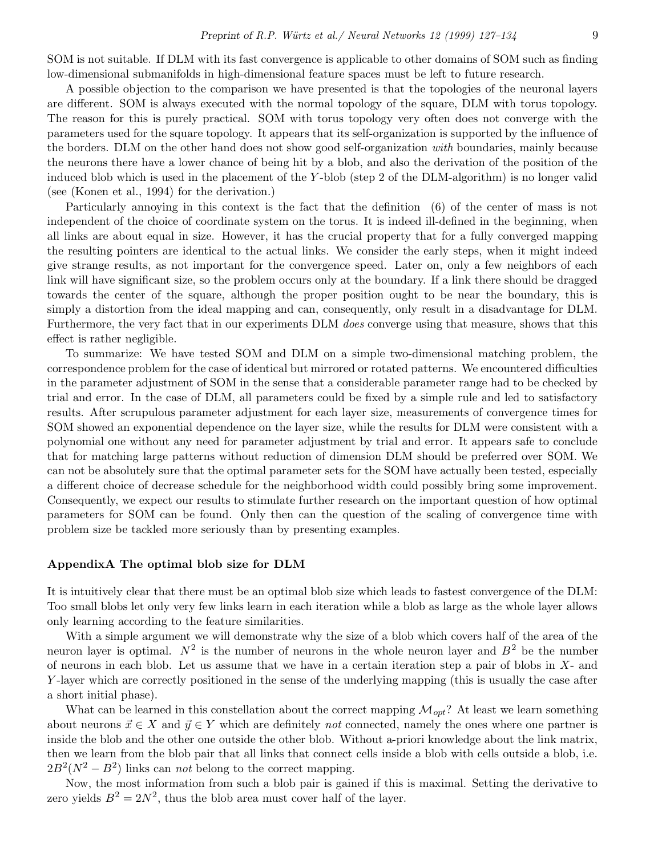SOM is not suitable. If DLM with its fast convergence is applicable to other domains of SOM such as finding low-dimensional submanifolds in high-dimensional feature spaces must be left to future research.

A possible objection to the comparison we have presented is that the topologies of the neuronal layers are different. SOM is always executed with the normal topology of the square, DLM with torus topology. The reason for this is purely practical. SOM with torus topology very often does not converge with the parameters used for the square topology. It appears that its self-organization is supported by the influence of the borders. DLM on the other hand does not show good self-organization with boundaries, mainly because the neurons there have a lower chance of being hit by a blob, and also the derivation of the position of the induced blob which is used in the placement of the Y -blob (step 2 of the DLM-algorithm) is no longer valid (see (Konen et al., 1994) for the derivation.)

Particularly annoying in this context is the fact that the definition (6) of the center of mass is not independent of the choice of coordinate system on the torus. It is indeed ill-defined in the beginning, when all links are about equal in size. However, it has the crucial property that for a fully converged mapping the resulting pointers are identical to the actual links. We consider the early steps, when it might indeed give strange results, as not important for the convergence speed. Later on, only a few neighbors of each link will have significant size, so the problem occurs only at the boundary. If a link there should be dragged towards the center of the square, although the proper position ought to be near the boundary, this is simply a distortion from the ideal mapping and can, consequently, only result in a disadvantage for DLM. Furthermore, the very fact that in our experiments DLM does converge using that measure, shows that this effect is rather negligible.

To summarize: We have tested SOM and DLM on a simple two-dimensional matching problem, the correspondence problem for the case of identical but mirrored or rotated patterns. We encountered difficulties in the parameter adjustment of SOM in the sense that a considerable parameter range had to be checked by trial and error. In the case of DLM, all parameters could be fixed by a simple rule and led to satisfactory results. After scrupulous parameter adjustment for each layer size, measurements of convergence times for SOM showed an exponential dependence on the layer size, while the results for DLM were consistent with a polynomial one without any need for parameter adjustment by trial and error. It appears safe to conclude that for matching large patterns without reduction of dimension DLM should be preferred over SOM. We can not be absolutely sure that the optimal parameter sets for the SOM have actually been tested, especially a different choice of decrease schedule for the neighborhood width could possibly bring some improvement. Consequently, we expect our results to stimulate further research on the important question of how optimal parameters for SOM can be found. Only then can the question of the scaling of convergence time with problem size be tackled more seriously than by presenting examples.

#### AppendixA The optimal blob size for DLM

It is intuitively clear that there must be an optimal blob size which leads to fastest convergence of the DLM: Too small blobs let only very few links learn in each iteration while a blob as large as the whole layer allows only learning according to the feature similarities.

With a simple argument we will demonstrate why the size of a blob which covers half of the area of the neuron layer is optimal.  $N^2$  is the number of neurons in the whole neuron layer and  $B^2$  be the number of neurons in each blob. Let us assume that we have in a certain iteration step a pair of blobs in  $X$ - and Y -layer which are correctly positioned in the sense of the underlying mapping (this is usually the case after a short initial phase).

What can be learned in this constellation about the correct mapping  $\mathcal{M}_{opt}$ ? At least we learn something about neurons  $\vec{x} \in X$  and  $\vec{y} \in Y$  which are definitely not connected, namely the ones where one partner is inside the blob and the other one outside the other blob. Without a-priori knowledge about the link matrix, then we learn from the blob pair that all links that connect cells inside a blob with cells outside a blob, i.e.  $2B^2(N^2 - B^2)$  links can *not* belong to the correct mapping.

Now, the most information from such a blob pair is gained if this is maximal. Setting the derivative to zero yields  $B^2 = 2N^2$ , thus the blob area must cover half of the layer.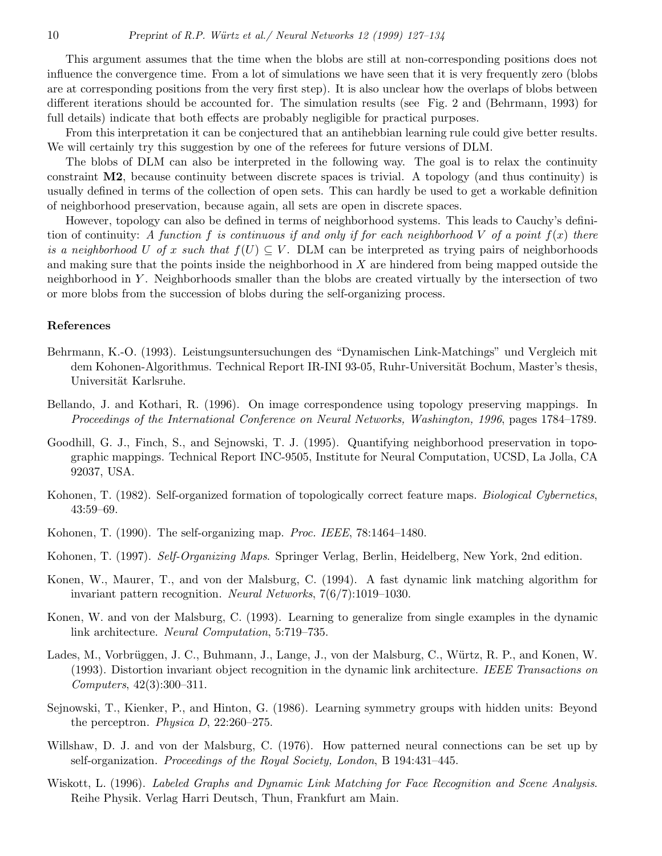This argument assumes that the time when the blobs are still at non-corresponding positions does not influence the convergence time. From a lot of simulations we have seen that it is very frequently zero (blobs are at corresponding positions from the very first step). It is also unclear how the overlaps of blobs between different iterations should be accounted for. The simulation results (see Fig. 2 and (Behrmann, 1993) for full details) indicate that both effects are probably negligible for practical purposes.

From this interpretation it can be conjectured that an antihebbian learning rule could give better results. We will certainly try this suggestion by one of the referees for future versions of DLM.

The blobs of DLM can also be interpreted in the following way. The goal is to relax the continuity constraint M2, because continuity between discrete spaces is trivial. A topology (and thus continuity) is usually defined in terms of the collection of open sets. This can hardly be used to get a workable definition of neighborhood preservation, because again, all sets are open in discrete spaces.

However, topology can also be defined in terms of neighborhood systems. This leads to Cauchy's definition of continuity: A function f is continuous if and only if for each neighborhood V of a point  $f(x)$  there is a neighborhood U of x such that  $f(U) \subseteq V$ . DLM can be interpreted as trying pairs of neighborhoods and making sure that the points inside the neighborhood in X are hindered from being mapped outside the neighborhood in Y . Neighborhoods smaller than the blobs are created virtually by the intersection of two or more blobs from the succession of blobs during the self-organizing process.

#### References

- Behrmann, K.-O. (1993). Leistungsuntersuchungen des "Dynamischen Link-Matchings" und Vergleich mit dem Kohonen-Algorithmus. Technical Report IR-INI 93-05, Ruhr-Universität Bochum, Master's thesis, Universität Karlsruhe.
- Bellando, J. and Kothari, R. (1996). On image correspondence using topology preserving mappings. In Proceedings of the International Conference on Neural Networks, Washington, 1996, pages 1784–1789.
- Goodhill, G. J., Finch, S., and Sejnowski, T. J. (1995). Quantifying neighborhood preservation in topographic mappings. Technical Report INC-9505, Institute for Neural Computation, UCSD, La Jolla, CA 92037, USA.
- Kohonen, T. (1982). Self-organized formation of topologically correct feature maps. *Biological Cybernetics*, 43:59–69.
- Kohonen, T. (1990). The self-organizing map. Proc. IEEE, 78:1464–1480.
- Kohonen, T. (1997). Self-Organizing Maps. Springer Verlag, Berlin, Heidelberg, New York, 2nd edition.
- Konen, W., Maurer, T., and von der Malsburg, C. (1994). A fast dynamic link matching algorithm for invariant pattern recognition. Neural Networks, 7(6/7):1019–1030.
- Konen, W. and von der Malsburg, C. (1993). Learning to generalize from single examples in the dynamic link architecture. Neural Computation, 5:719–735.
- Lades, M., Vorbrüggen, J. C., Buhmann, J., Lange, J., von der Malsburg, C., Würtz, R. P., and Konen, W. (1993). Distortion invariant object recognition in the dynamic link architecture. IEEE Transactions on Computers, 42(3):300–311.
- Sejnowski, T., Kienker, P., and Hinton, G. (1986). Learning symmetry groups with hidden units: Beyond the perceptron. Physica D, 22:260–275.
- Willshaw, D. J. and von der Malsburg, C. (1976). How patterned neural connections can be set up by self-organization. Proceedings of the Royal Society, London, B 194:431–445.
- Wiskott, L. (1996). Labeled Graphs and Dynamic Link Matching for Face Recognition and Scene Analysis. Reihe Physik. Verlag Harri Deutsch, Thun, Frankfurt am Main.